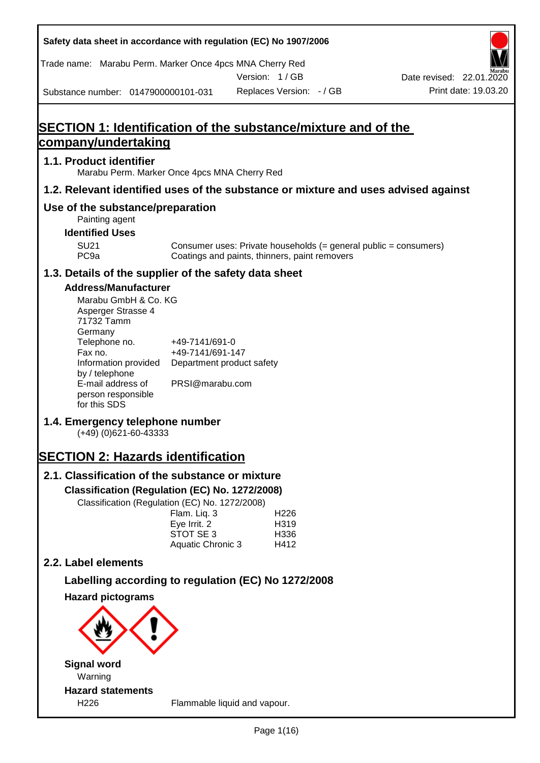**Safety data sheet in accordance with regulation (EC) No 1907/2006** Substance number: 0147900000101-031 Version: 1 / GB Replaces Version: - / GB Print date: 19.03.20 Date revised: 22.01.2020 Trade name: Marabu Perm. Marker Once 4pcs MNA Cherry Red **SECTION 1: Identification of the substance/mixture and of the company/undertaking 1.1. Product identifier** Marabu Perm. Marker Once 4pcs MNA Cherry Red **1.2. Relevant identified uses of the substance or mixture and uses advised against Use of the substance/preparation** Painting agent **Identified Uses** SU21 Consumer uses: Private households (= general public = consumers)<br>PC9a Coatings and paints, thinners, paint removers Coatings and paints, thinners, paint removers **1.3. Details of the supplier of the safety data sheet Address/Manufacturer** Marabu GmbH & Co. KG Asperger Strasse 4 71732 Tamm **Germany** Telephone no. +49-7141/691-0 Fax no.  $+49-7141/691-147$ Information provided Department product safety by / telephone E-mail address of person responsible for this SDS PRSI@marabu.com **1.4. Emergency telephone number** (+49) (0)621-60-43333 **SECTION 2: Hazards identification 2.1. Classification of the substance or mixture Classification (Regulation (EC) No. 1272/2008)** Classification (Regulation (EC) No. 1272/2008) Flam. Liq. 3 H226 Eve Irrit. 2 H319 STOT SE 3 H336 Aquatic Chronic 3 H412 **2.2. Label elements Labelling according to regulation (EC) No 1272/2008 Hazard pictograms Signal word** Warning **Hazard statements**

H226 Flammable liquid and vapour.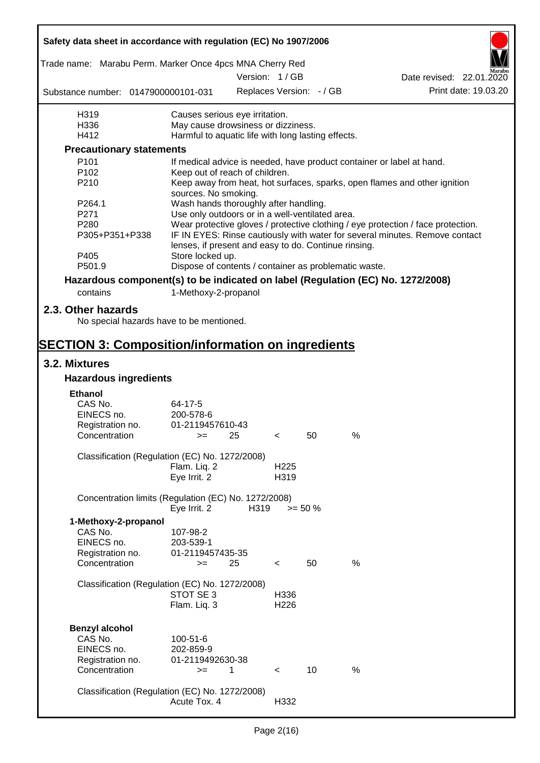| Safety data sheet in accordance with regulation (EC) No 1907/2006               |                                                        |                                                                                                                                     |                          |            |   |                                                                                  |  |  |
|---------------------------------------------------------------------------------|--------------------------------------------------------|-------------------------------------------------------------------------------------------------------------------------------------|--------------------------|------------|---|----------------------------------------------------------------------------------|--|--|
| Trade name: Marabu Perm. Marker Once 4pcs MNA Cherry Red                        |                                                        |                                                                                                                                     |                          |            |   |                                                                                  |  |  |
|                                                                                 |                                                        |                                                                                                                                     | Version: 1/GB            |            |   | Date revised: 22.01.2020<br>Print date: 19.03.20                                 |  |  |
| Substance number: 0147900000101-031                                             |                                                        |                                                                                                                                     | Replaces Version: - / GB |            |   |                                                                                  |  |  |
| H319                                                                            | Causes serious eye irritation.                         |                                                                                                                                     |                          |            |   |                                                                                  |  |  |
| H336                                                                            | May cause drowsiness or dizziness.                     |                                                                                                                                     |                          |            |   |                                                                                  |  |  |
| H412                                                                            | Harmful to aquatic life with long lasting effects.     |                                                                                                                                     |                          |            |   |                                                                                  |  |  |
| <b>Precautionary statements</b>                                                 |                                                        |                                                                                                                                     |                          |            |   |                                                                                  |  |  |
| P101                                                                            |                                                        |                                                                                                                                     |                          |            |   | If medical advice is needed, have product container or label at hand.            |  |  |
| P <sub>102</sub><br>P210                                                        | Keep out of reach of children.<br>sources. No smoking. |                                                                                                                                     |                          |            |   | Keep away from heat, hot surfaces, sparks, open flames and other ignition        |  |  |
| P264.1                                                                          | Wash hands thoroughly after handling.                  |                                                                                                                                     |                          |            |   |                                                                                  |  |  |
| P271                                                                            | Use only outdoors or in a well-ventilated area.        |                                                                                                                                     |                          |            |   |                                                                                  |  |  |
| P <sub>280</sub>                                                                |                                                        |                                                                                                                                     |                          |            |   | Wear protective gloves / protective clothing / eye protection / face protection. |  |  |
| P305+P351+P338                                                                  |                                                        | IF IN EYES: Rinse cautiously with water for several minutes. Remove contact<br>lenses, if present and easy to do. Continue rinsing. |                          |            |   |                                                                                  |  |  |
| P405<br>P501.9                                                                  | Store locked up.                                       |                                                                                                                                     |                          |            |   |                                                                                  |  |  |
|                                                                                 | Dispose of contents / container as problematic waste.  |                                                                                                                                     |                          |            |   |                                                                                  |  |  |
| Hazardous component(s) to be indicated on label (Regulation (EC) No. 1272/2008) |                                                        |                                                                                                                                     |                          |            |   |                                                                                  |  |  |
| contains                                                                        | 1-Methoxy-2-propanol                                   |                                                                                                                                     |                          |            |   |                                                                                  |  |  |
| 2.3. Other hazards<br>No special hazards have to be mentioned.                  |                                                        |                                                                                                                                     |                          |            |   |                                                                                  |  |  |
| <b>SECTION 3: Composition/information on ingredients</b>                        |                                                        |                                                                                                                                     |                          |            |   |                                                                                  |  |  |
| 3.2. Mixtures                                                                   |                                                        |                                                                                                                                     |                          |            |   |                                                                                  |  |  |
| <b>Hazardous ingredients</b>                                                    |                                                        |                                                                                                                                     |                          |            |   |                                                                                  |  |  |
|                                                                                 |                                                        |                                                                                                                                     |                          |            |   |                                                                                  |  |  |
| <b>Ethanol</b>                                                                  |                                                        |                                                                                                                                     |                          |            |   |                                                                                  |  |  |
| CAS No.<br>EINECS no.                                                           | 64-17-5<br>200-578-6                                   |                                                                                                                                     |                          |            |   |                                                                                  |  |  |
| Registration no.                                                                | 01-2119457610-43                                       |                                                                                                                                     |                          |            |   |                                                                                  |  |  |
| Concentration                                                                   | — >=                                                   | 25                                                                                                                                  | $\sim$                   | 50         | % |                                                                                  |  |  |
|                                                                                 |                                                        |                                                                                                                                     |                          |            |   |                                                                                  |  |  |
| Classification (Regulation (EC) No. 1272/2008)                                  |                                                        |                                                                                                                                     |                          |            |   |                                                                                  |  |  |
|                                                                                 | Flam. Liq. 2<br>Eye Irrit. 2                           |                                                                                                                                     | H <sub>225</sub><br>H319 |            |   |                                                                                  |  |  |
| Concentration limits (Regulation (EC) No. 1272/2008)                            | Eye Irrit. 2                                           | H319                                                                                                                                |                          | $>= 50 \%$ |   |                                                                                  |  |  |
| 1-Methoxy-2-propanol                                                            |                                                        |                                                                                                                                     |                          |            |   |                                                                                  |  |  |
| CAS No.                                                                         | 107-98-2                                               |                                                                                                                                     |                          |            |   |                                                                                  |  |  |
| EINECS no.                                                                      | 203-539-1                                              |                                                                                                                                     |                          |            |   |                                                                                  |  |  |
| Registration no.                                                                | 01-2119457435-35                                       |                                                                                                                                     |                          |            |   |                                                                                  |  |  |
| Concentration                                                                   | $>=$                                                   | 25                                                                                                                                  | $\,<\,$                  | 50         | % |                                                                                  |  |  |
| Classification (Regulation (EC) No. 1272/2008)                                  | STOT SE 3                                              |                                                                                                                                     | H336                     |            |   |                                                                                  |  |  |
|                                                                                 | Flam. Liq. 3                                           |                                                                                                                                     | H <sub>226</sub>         |            |   |                                                                                  |  |  |
| <b>Benzyl alcohol</b>                                                           |                                                        |                                                                                                                                     |                          |            |   |                                                                                  |  |  |
| CAS No.                                                                         | 100-51-6                                               |                                                                                                                                     |                          |            |   |                                                                                  |  |  |
| EINECS no.                                                                      | 202-859-9                                              |                                                                                                                                     |                          |            |   |                                                                                  |  |  |
| Registration no.                                                                | 01-2119492630-38                                       |                                                                                                                                     |                          |            |   |                                                                                  |  |  |
| Concentration                                                                   | $>=$                                                   | 1                                                                                                                                   | $\lt$                    | 10         | % |                                                                                  |  |  |
| Classification (Regulation (EC) No. 1272/2008)                                  | Acute Tox. 4                                           |                                                                                                                                     | H332                     |            |   |                                                                                  |  |  |
|                                                                                 |                                                        |                                                                                                                                     |                          |            |   |                                                                                  |  |  |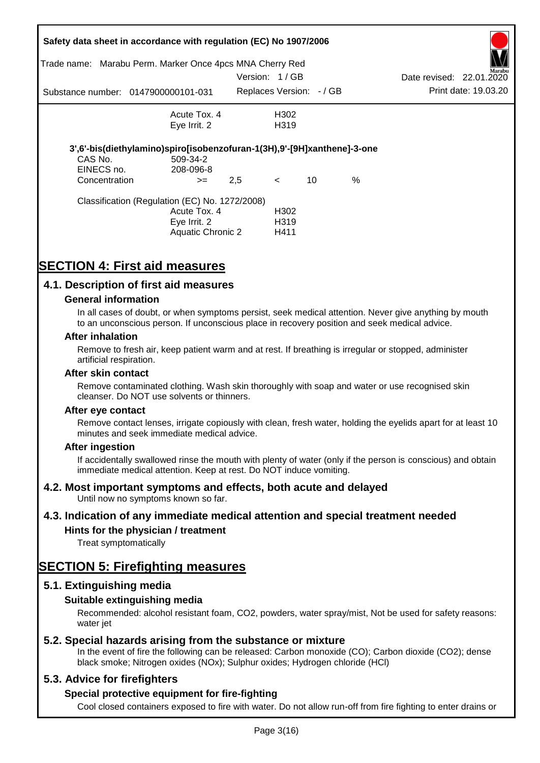|               | Safety data sheet in accordance with regulation (EC) No 1907/2006                   |               |                         |    |   |                          |                      |
|---------------|-------------------------------------------------------------------------------------|---------------|-------------------------|----|---|--------------------------|----------------------|
| Trade name:   | Marabu Perm. Marker Once 4pcs MNA Cherry Red                                        |               |                         |    |   |                          | Marabu               |
|               |                                                                                     | Version: 1/GB |                         |    |   | Date revised: 22.01.2020 |                      |
|               | Substance number: 0147900000101-031                                                 |               | Replaces Version: -/ GB |    |   |                          | Print date: 19.03.20 |
|               | Acute Tox, 4                                                                        |               | H302                    |    |   |                          |                      |
|               | Eye Irrit. 2                                                                        |               | H <sub>3</sub> 19       |    |   |                          |                      |
| CAS No.       | 3',6'-bis(diethylamino)spiro[isobenzofuran-1(3H),9'-[9H]xanthene]-3-one<br>509-34-2 |               |                         |    |   |                          |                      |
| EINECS no.    | 208-096-8                                                                           |               |                         |    |   |                          |                      |
| Concentration | $>=$                                                                                | 2,5           | $\leq$                  | 10 | % |                          |                      |
|               | Classification (Regulation (EC) No. 1272/2008)                                      |               |                         |    |   |                          |                      |
|               | Acute Tox. 4                                                                        |               | H <sub>302</sub>        |    |   |                          |                      |
|               | Eye Irrit. 2                                                                        |               | H319                    |    |   |                          |                      |
|               | Aquatic Chronic 2                                                                   |               | H411                    |    |   |                          |                      |

# **SECTION 4: First aid measures**

## **4.1. Description of first aid measures**

### **General information**

In all cases of doubt, or when symptoms persist, seek medical attention. Never give anything by mouth to an unconscious person. If unconscious place in recovery position and seek medical advice.

#### **After inhalation**

Remove to fresh air, keep patient warm and at rest. If breathing is irregular or stopped, administer artificial respiration.

#### **After skin contact**

Remove contaminated clothing. Wash skin thoroughly with soap and water or use recognised skin cleanser. Do NOT use solvents or thinners.

#### **After eye contact**

Remove contact lenses, irrigate copiously with clean, fresh water, holding the eyelids apart for at least 10 minutes and seek immediate medical advice.

#### **After ingestion**

If accidentally swallowed rinse the mouth with plenty of water (only if the person is conscious) and obtain immediate medical attention. Keep at rest. Do NOT induce vomiting.

## **4.2. Most important symptoms and effects, both acute and delayed**

Until now no symptoms known so far.

## **4.3. Indication of any immediate medical attention and special treatment needed**

## **Hints for the physician / treatment**

Treat symptomatically

## **SECTION 5: Firefighting measures**

## **5.1. Extinguishing media**

## **Suitable extinguishing media**

Recommended: alcohol resistant foam, CO2, powders, water spray/mist, Not be used for safety reasons: water *iet* 

## **5.2. Special hazards arising from the substance or mixture**

In the event of fire the following can be released: Carbon monoxide (CO); Carbon dioxide (CO2); dense black smoke; Nitrogen oxides (NOx); Sulphur oxides; Hydrogen chloride (HCl)

## **5.3. Advice for firefighters**

## **Special protective equipment for fire-fighting**

Cool closed containers exposed to fire with water. Do not allow run-off from fire fighting to enter drains or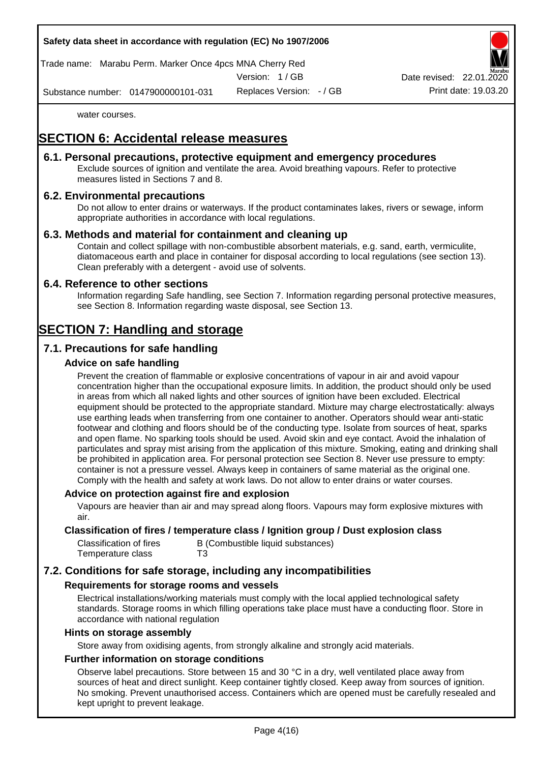

Trade name: Marabu Perm. Marker Once 4pcs MNA Cherry Red

Version: 1 / GB

Replaces Version: - / GB Print date: 19.03.20 Date revised: 22.01.

Substance number: 0147900000101-031

water courses.

# **SECTION 6: Accidental release measures**

## **6.1. Personal precautions, protective equipment and emergency procedures**

Exclude sources of ignition and ventilate the area. Avoid breathing vapours. Refer to protective measures listed in Sections 7 and 8.

## **6.2. Environmental precautions**

Do not allow to enter drains or waterways. If the product contaminates lakes, rivers or sewage, inform appropriate authorities in accordance with local regulations.

## **6.3. Methods and material for containment and cleaning up**

Contain and collect spillage with non-combustible absorbent materials, e.g. sand, earth, vermiculite, diatomaceous earth and place in container for disposal according to local regulations (see section 13). Clean preferably with a detergent - avoid use of solvents.

## **6.4. Reference to other sections**

Information regarding Safe handling, see Section 7. Information regarding personal protective measures, see Section 8. Information regarding waste disposal, see Section 13.

# **SECTION 7: Handling and storage**

## **7.1. Precautions for safe handling**

## **Advice on safe handling**

Prevent the creation of flammable or explosive concentrations of vapour in air and avoid vapour concentration higher than the occupational exposure limits. In addition, the product should only be used in areas from which all naked lights and other sources of ignition have been excluded. Electrical equipment should be protected to the appropriate standard. Mixture may charge electrostatically: always use earthing leads when transferring from one container to another. Operators should wear anti-static footwear and clothing and floors should be of the conducting type. Isolate from sources of heat, sparks and open flame. No sparking tools should be used. Avoid skin and eye contact. Avoid the inhalation of particulates and spray mist arising from the application of this mixture. Smoking, eating and drinking shall be prohibited in application area. For personal protection see Section 8. Never use pressure to empty: container is not a pressure vessel. Always keep in containers of same material as the original one. Comply with the health and safety at work laws. Do not allow to enter drains or water courses.

## **Advice on protection against fire and explosion**

Vapours are heavier than air and may spread along floors. Vapours may form explosive mixtures with air.

### **Classification of fires / temperature class / Ignition group / Dust explosion class**

| Classification of fires | B (Combustible liquid substances) |
|-------------------------|-----------------------------------|
| Temperature class       | T3                                |

## **7.2. Conditions for safe storage, including any incompatibilities**

## **Requirements for storage rooms and vessels**

Electrical installations/working materials must comply with the local applied technological safety standards. Storage rooms in which filling operations take place must have a conducting floor. Store in accordance with national regulation

#### **Hints on storage assembly**

Store away from oxidising agents, from strongly alkaline and strongly acid materials.

## **Further information on storage conditions**

Observe label precautions. Store between 15 and 30 °C in a dry, well ventilated place away from sources of heat and direct sunlight. Keep container tightly closed. Keep away from sources of ignition. No smoking. Prevent unauthorised access. Containers which are opened must be carefully resealed and kept upright to prevent leakage.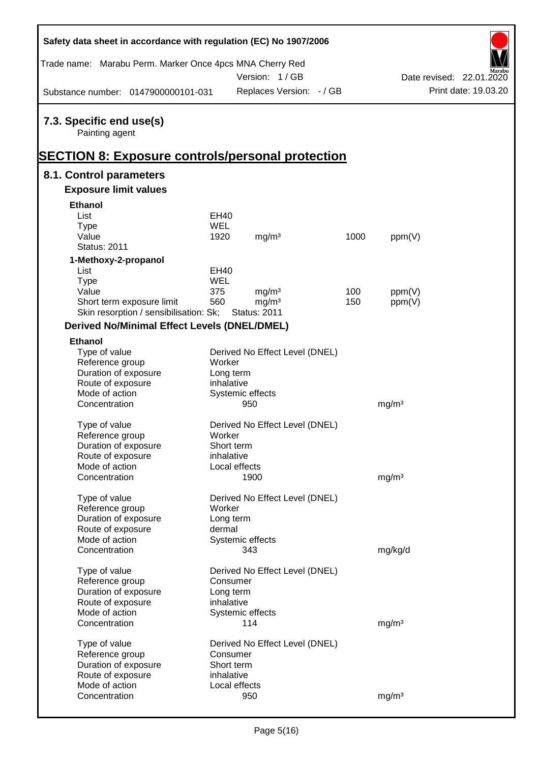| Safety data sheet in accordance with regulation (EC) No 1907/2006 |             |                                |      |                   |                          |
|-------------------------------------------------------------------|-------------|--------------------------------|------|-------------------|--------------------------|
| Trade name: Marabu Perm. Marker Once 4pcs MNA Cherry Red          |             |                                |      |                   |                          |
|                                                                   |             | Version: 1/GB                  |      |                   | Date revised: 22.01.2020 |
| Substance number: 0147900000101-031                               |             | Replaces Version: - / GB       |      |                   | Print date: 19.03.20     |
| 7.3. Specific end use(s)<br>Painting agent                        |             |                                |      |                   |                          |
| <b>SECTION 8: Exposure controls/personal protection</b>           |             |                                |      |                   |                          |
| 8.1. Control parameters                                           |             |                                |      |                   |                          |
| <b>Exposure limit values</b>                                      |             |                                |      |                   |                          |
| <b>Ethanol</b>                                                    |             |                                |      |                   |                          |
| List                                                              | EH40        |                                |      |                   |                          |
| <b>Type</b>                                                       | WEL         |                                |      |                   |                          |
| Value                                                             | 1920        | mg/m <sup>3</sup>              | 1000 | ppm(V)            |                          |
| <b>Status: 2011</b>                                               |             |                                |      |                   |                          |
| 1-Methoxy-2-propanol                                              |             |                                |      |                   |                          |
| List                                                              | <b>EH40</b> |                                |      |                   |                          |
| <b>Type</b>                                                       | WEL         |                                |      |                   |                          |
| Value                                                             | 375         | mg/m <sup>3</sup>              | 100  | ppm(V)            |                          |
| Short term exposure limit                                         | 560         | mg/m <sup>3</sup>              | 150  | ppm(V)            |                          |
| Skin resorption / sensibilisation: Sk;                            |             | <b>Status: 2011</b>            |      |                   |                          |
| <b>Derived No/Minimal Effect Levels (DNEL/DMEL)</b>               |             |                                |      |                   |                          |
| <b>Ethanol</b>                                                    |             |                                |      |                   |                          |
| Type of value                                                     |             | Derived No Effect Level (DNEL) |      |                   |                          |
| Reference group                                                   | Worker      |                                |      |                   |                          |
| Duration of exposure                                              | Long term   |                                |      |                   |                          |
| Route of exposure                                                 | inhalative  |                                |      |                   |                          |
| Mode of action                                                    |             | Systemic effects               |      |                   |                          |
| Concentration                                                     |             | 950                            |      | mg/m <sup>3</sup> |                          |
| Type of value                                                     |             | Derived No Effect Level (DNEL) |      |                   |                          |
| Reference group                                                   | Worker      |                                |      |                   |                          |
| Duration of exposure                                              | Short term  |                                |      |                   |                          |
| Route of exposure                                                 | inhalative  |                                |      |                   |                          |
| Mode of action                                                    |             | Local effects                  |      |                   |                          |
| Concentration                                                     |             | 1900                           |      | mg/m <sup>3</sup> |                          |
|                                                                   |             |                                |      |                   |                          |
| Type of value                                                     |             | Derived No Effect Level (DNEL) |      |                   |                          |
| Reference group                                                   | Worker      |                                |      |                   |                          |
| Duration of exposure                                              | Long term   |                                |      |                   |                          |
| Route of exposure                                                 | dermal      |                                |      |                   |                          |
| Mode of action                                                    |             | Systemic effects               |      |                   |                          |
| Concentration                                                     |             | 343                            |      | mg/kg/d           |                          |
|                                                                   |             |                                |      |                   |                          |
| Type of value                                                     |             | Derived No Effect Level (DNEL) |      |                   |                          |
| Reference group                                                   | Consumer    |                                |      |                   |                          |
| Duration of exposure                                              | Long term   |                                |      |                   |                          |
| Route of exposure                                                 | inhalative  |                                |      |                   |                          |
| Mode of action                                                    |             | Systemic effects               |      |                   |                          |
| Concentration                                                     |             | 114                            |      | mg/m <sup>3</sup> |                          |
| Type of value                                                     |             | Derived No Effect Level (DNEL) |      |                   |                          |
| Reference group                                                   | Consumer    |                                |      |                   |                          |
| Duration of exposure                                              | Short term  |                                |      |                   |                          |
| Route of exposure                                                 | inhalative  |                                |      |                   |                          |
| Mode of action                                                    |             | Local effects                  |      |                   |                          |
| Concentration                                                     |             | 950                            |      | mg/m <sup>3</sup> |                          |
|                                                                   |             |                                |      |                   |                          |

Ī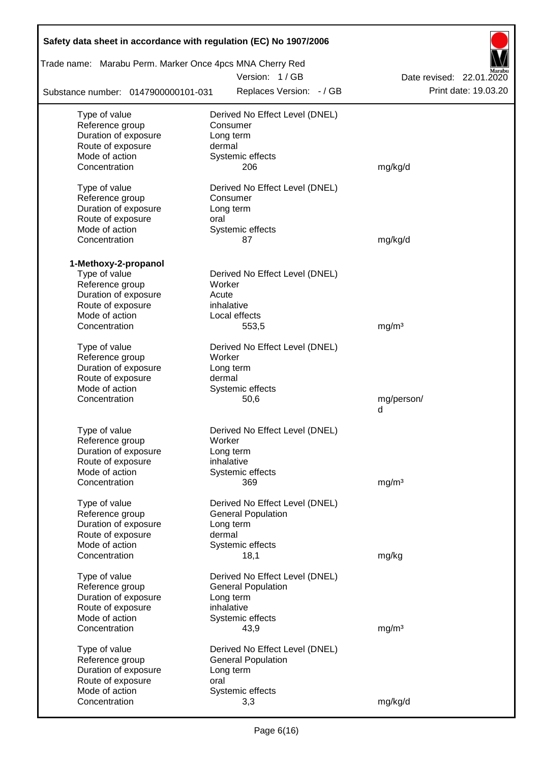| Safety data sheet in accordance with regulation (EC) No 1907/2006 |                                |                          |
|-------------------------------------------------------------------|--------------------------------|--------------------------|
| Trade name: Marabu Perm. Marker Once 4pcs MNA Cherry Red          |                                |                          |
|                                                                   | Version: 1/GB                  | Date revised: 22.01.2020 |
| Substance number: 0147900000101-031                               | Replaces Version: - / GB       | Print date: 19.03.20     |
| Type of value                                                     | Derived No Effect Level (DNEL) |                          |
| Reference group                                                   | Consumer                       |                          |
| Duration of exposure                                              | Long term                      |                          |
| Route of exposure                                                 | dermal                         |                          |
| Mode of action                                                    | Systemic effects               |                          |
| Concentration                                                     | 206                            | mg/kg/d                  |
| Type of value                                                     | Derived No Effect Level (DNEL) |                          |
| Reference group                                                   | Consumer                       |                          |
| Duration of exposure                                              | Long term                      |                          |
| Route of exposure                                                 | oral                           |                          |
| Mode of action                                                    | Systemic effects               |                          |
| Concentration                                                     | 87                             | mg/kg/d                  |
|                                                                   |                                |                          |
| 1-Methoxy-2-propanol                                              |                                |                          |
| Type of value                                                     | Derived No Effect Level (DNEL) |                          |
| Reference group                                                   | Worker                         |                          |
| Duration of exposure                                              | Acute                          |                          |
| Route of exposure<br>Mode of action                               | inhalative<br>Local effects    |                          |
| Concentration                                                     | 553,5                          | mg/m <sup>3</sup>        |
|                                                                   |                                |                          |
| Type of value                                                     | Derived No Effect Level (DNEL) |                          |
| Reference group                                                   | Worker                         |                          |
| Duration of exposure                                              | Long term                      |                          |
| Route of exposure                                                 | dermal                         |                          |
| Mode of action                                                    | Systemic effects               |                          |
| Concentration                                                     | 50,6                           | mg/person/               |
|                                                                   |                                | d                        |
| Type of value                                                     | Derived No Effect Level (DNEL) |                          |
| Reference group                                                   | Worker                         |                          |
| Duration of exposure                                              | Long term                      |                          |
| Route of exposure                                                 | inhalative                     |                          |
| Mode of action                                                    | Systemic effects               |                          |
| Concentration                                                     | 369                            | mg/m <sup>3</sup>        |
|                                                                   |                                |                          |
| Type of value                                                     | Derived No Effect Level (DNEL) |                          |
| Reference group                                                   | <b>General Population</b>      |                          |
| Duration of exposure                                              | Long term<br>dermal            |                          |
| Route of exposure<br>Mode of action                               | Systemic effects               |                          |
| Concentration                                                     | 18,1                           | mg/kg                    |
|                                                                   |                                |                          |
| Type of value                                                     | Derived No Effect Level (DNEL) |                          |
| Reference group                                                   | <b>General Population</b>      |                          |
| Duration of exposure                                              | Long term                      |                          |
| Route of exposure                                                 | inhalative                     |                          |
| Mode of action                                                    | Systemic effects               |                          |
| Concentration                                                     | 43,9                           | mg/m <sup>3</sup>        |
| Type of value                                                     | Derived No Effect Level (DNEL) |                          |
| Reference group                                                   | <b>General Population</b>      |                          |
| Duration of exposure                                              | Long term                      |                          |
| Route of exposure                                                 | oral                           |                          |
| Mode of action                                                    | Systemic effects               |                          |
| Concentration                                                     | 3,3                            | mg/kg/d                  |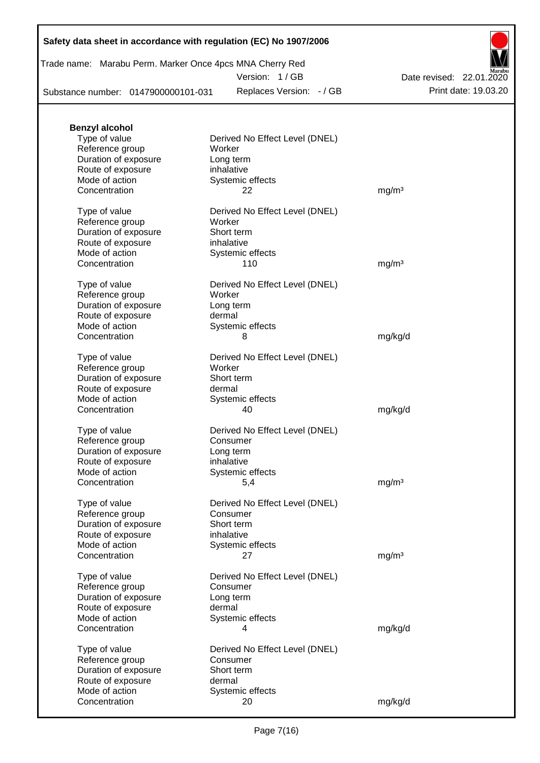|  | Trade name: Marabu Perm. Marker Once 4pcs MNA Cherry Red |  |  |  |  |
|--|----------------------------------------------------------|--|--|--|--|
|--|----------------------------------------------------------|--|--|--|--|

Version: 1 / GB

Substance number: 0147900000101-031

Replaces Version: - / GB Print date: 19.03.20 Date revised: 22.01.2020

| <b>Benzyl alcohol</b> |                                |                   |
|-----------------------|--------------------------------|-------------------|
| Type of value         | Derived No Effect Level (DNEL) |                   |
| Reference group       | Worker                         |                   |
| Duration of exposure  | Long term                      |                   |
| Route of exposure     | inhalative                     |                   |
| Mode of action        | Systemic effects               |                   |
| Concentration         | 22                             | mg/m <sup>3</sup> |
| Type of value         | Derived No Effect Level (DNEL) |                   |
| Reference group       | Worker                         |                   |
| Duration of exposure  | Short term                     |                   |
| Route of exposure     | inhalative                     |                   |
| Mode of action        | Systemic effects               |                   |
| Concentration         | 110                            | mg/m <sup>3</sup> |
| Type of value         | Derived No Effect Level (DNEL) |                   |
| Reference group       | Worker                         |                   |
| Duration of exposure  | Long term                      |                   |
| Route of exposure     | dermal                         |                   |
| Mode of action        | Systemic effects               |                   |
| Concentration         | 8                              | mg/kg/d           |
| Type of value         | Derived No Effect Level (DNEL) |                   |
| Reference group       | Worker                         |                   |
| Duration of exposure  | Short term                     |                   |
| Route of exposure     | dermal                         |                   |
| Mode of action        | Systemic effects               |                   |
| Concentration         | 40                             | mg/kg/d           |
| Type of value         | Derived No Effect Level (DNEL) |                   |
| Reference group       | Consumer                       |                   |
| Duration of exposure  | Long term                      |                   |
| Route of exposure     | inhalative                     |                   |
| Mode of action        | Systemic effects               |                   |
| Concentration         | 5,4                            | mg/m <sup>3</sup> |
| Type of value         | Derived No Effect Level (DNEL) |                   |
| Reference group       | Consumer                       |                   |
| Duration of exposure  | Short term                     |                   |
| Route of exposure     | inhalative                     |                   |
| Mode of action        | Systemic effects               |                   |
| Concentration         | 27                             | mg/m <sup>3</sup> |
| Type of value         | Derived No Effect Level (DNEL) |                   |
| Reference group       | Consumer                       |                   |
| Duration of exposure  | Long term                      |                   |
| Route of exposure     | dermal                         |                   |
| Mode of action        | Systemic effects               |                   |
| Concentration         | 4                              | mg/kg/d           |
| Type of value         | Derived No Effect Level (DNEL) |                   |
| Reference group       | Consumer                       |                   |
| Duration of exposure  | Short term                     |                   |
| Route of exposure     | dermal                         |                   |
| Mode of action        | Systemic effects               |                   |
| Concentration         | 20                             | mg/kg/d           |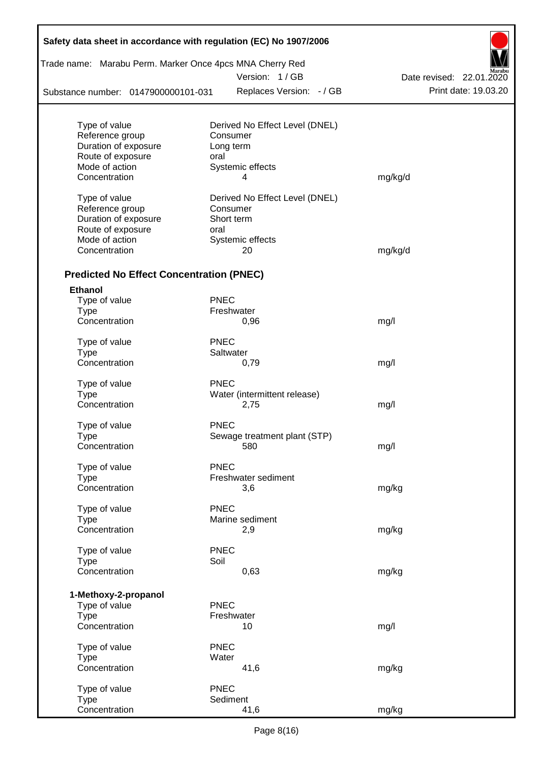| Trade name: Marabu Perm. Marker Once 4pcs MNA Cherry Red |             |                                |                          |
|----------------------------------------------------------|-------------|--------------------------------|--------------------------|
|                                                          |             | Version: 1/GB                  | Date revised: 22.01.2020 |
| Substance number: 0147900000101-031                      |             | Replaces Version: - / GB       | Print date: 19.03.20     |
| Type of value                                            |             | Derived No Effect Level (DNEL) |                          |
| Reference group                                          |             | Consumer                       |                          |
| Duration of exposure                                     |             | Long term                      |                          |
| Route of exposure                                        | oral        |                                |                          |
| Mode of action                                           |             | Systemic effects               |                          |
| Concentration                                            |             | 4                              | mg/kg/d                  |
| Type of value                                            |             | Derived No Effect Level (DNEL) |                          |
| Reference group                                          |             | Consumer                       |                          |
| Duration of exposure                                     |             | Short term                     |                          |
| Route of exposure                                        | oral        |                                |                          |
| Mode of action                                           |             | Systemic effects               |                          |
| Concentration                                            |             | 20                             | mg/kg/d                  |
| <b>Predicted No Effect Concentration (PNEC)</b>          |             |                                |                          |
| <b>Ethanol</b>                                           |             |                                |                          |
| Type of value                                            | <b>PNEC</b> |                                |                          |
| <b>Type</b>                                              |             | Freshwater                     |                          |
| Concentration                                            |             | 0,96                           | mg/l                     |
| Type of value                                            | <b>PNEC</b> |                                |                          |
| <b>Type</b>                                              |             | Saltwater                      |                          |
| Concentration                                            |             | 0,79                           | mg/l                     |
| Type of value                                            | <b>PNEC</b> |                                |                          |
| <b>Type</b>                                              |             | Water (intermittent release)   |                          |
| Concentration                                            |             | 2,75                           | mg/l                     |
| Type of value                                            | <b>PNEC</b> |                                |                          |
| <b>Type</b>                                              |             | Sewage treatment plant (STP)   |                          |
| Concentration                                            |             | 580                            | mg/l                     |
| Type of value                                            | <b>PNEC</b> |                                |                          |
| <b>Type</b>                                              |             | Freshwater sediment            |                          |
| Concentration                                            |             | 3,6                            | mg/kg                    |
| Type of value                                            | <b>PNEC</b> |                                |                          |
| <b>Type</b>                                              |             | Marine sediment                |                          |
| Concentration                                            |             | 2,9                            | mg/kg                    |
| Type of value                                            | <b>PNEC</b> |                                |                          |
| <b>Type</b>                                              | Soil        |                                |                          |
| Concentration                                            |             | 0,63                           | mg/kg                    |
|                                                          |             |                                |                          |
| 1-Methoxy-2-propanol<br>Type of value                    | <b>PNEC</b> |                                |                          |
| <b>Type</b>                                              |             | Freshwater                     |                          |
| Concentration                                            |             | 10                             | mg/l                     |
| Type of value                                            | <b>PNEC</b> |                                |                          |
| <b>Type</b>                                              | Water       |                                |                          |
| Concentration                                            |             | 41,6                           | mg/kg                    |
| Type of value                                            | <b>PNEC</b> |                                |                          |
| <b>Type</b>                                              |             | Sediment                       |                          |
| Concentration                                            |             | 41,6                           | mg/kg                    |

Г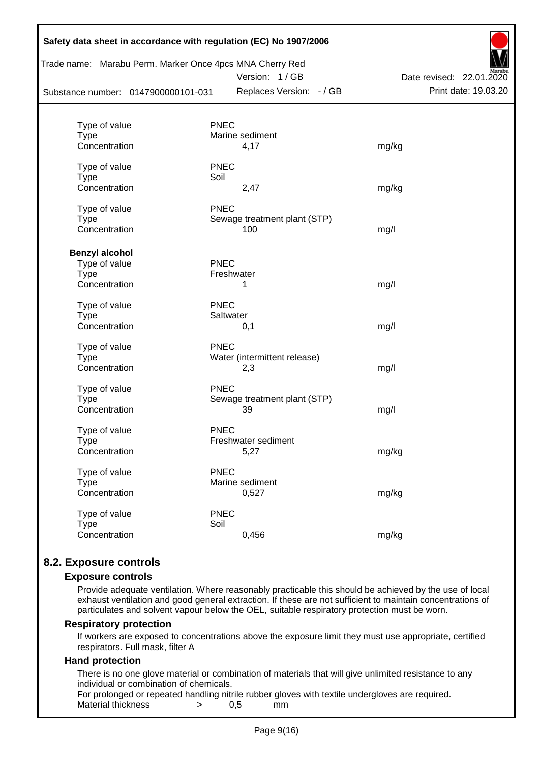|                                     |             | Trade name: Marabu Perm. Marker Once 4pcs MNA Cherry Red<br>Version: 1/GB | Date revised: 22.01.2020 |
|-------------------------------------|-------------|---------------------------------------------------------------------------|--------------------------|
| Substance number: 0147900000101-031 |             | Replaces Version: - / GB                                                  | Print date: 19.03.20     |
| Type of value                       | <b>PNEC</b> |                                                                           |                          |
| <b>Type</b>                         |             | Marine sediment                                                           |                          |
| Concentration                       |             | 4,17                                                                      | mg/kg                    |
| Type of value                       | <b>PNEC</b> |                                                                           |                          |
| <b>Type</b>                         | Soil        |                                                                           |                          |
| Concentration                       |             | 2,47                                                                      | mg/kg                    |
| Type of value                       | <b>PNEC</b> |                                                                           |                          |
| <b>Type</b>                         |             | Sewage treatment plant (STP)                                              |                          |
| Concentration                       |             | 100                                                                       | mg/l                     |
| <b>Benzyl alcohol</b>               |             |                                                                           |                          |
| Type of value                       | <b>PNEC</b> |                                                                           |                          |
| <b>Type</b>                         |             | Freshwater                                                                |                          |
| Concentration                       |             | 1                                                                         | mg/l                     |
| Type of value                       | <b>PNEC</b> |                                                                           |                          |
| <b>Type</b>                         |             | Saltwater                                                                 |                          |
| Concentration                       |             | 0,1                                                                       | mg/l                     |
| Type of value                       | <b>PNEC</b> |                                                                           |                          |
| <b>Type</b>                         |             | Water (intermittent release)                                              |                          |
| Concentration                       |             | 2,3                                                                       | mg/l                     |
| Type of value                       | <b>PNEC</b> |                                                                           |                          |
| <b>Type</b>                         |             | Sewage treatment plant (STP)                                              |                          |
| Concentration                       |             | 39                                                                        | mg/l                     |
| Type of value                       | <b>PNEC</b> |                                                                           |                          |
| Type                                |             | Freshwater sediment                                                       |                          |
| Concentration                       |             | 5,27                                                                      | mg/kg                    |
| Type of value                       | <b>PNEC</b> |                                                                           |                          |
| <b>Type</b>                         |             | Marine sediment                                                           |                          |
| Concentration                       |             | 0,527                                                                     | mg/kg                    |
| Type of value                       | <b>PNEC</b> |                                                                           |                          |
| <b>Type</b>                         | Soil        |                                                                           |                          |
| Concentration                       |             | 0,456                                                                     | mg/kg                    |

## **8.2. Exposure controls**

#### **Exposure controls**

Provide adequate ventilation. Where reasonably practicable this should be achieved by the use of local exhaust ventilation and good general extraction. If these are not sufficient to maintain concentrations of particulates and solvent vapour below the OEL, suitable respiratory protection must be worn.

#### **Respiratory protection**

If workers are exposed to concentrations above the exposure limit they must use appropriate, certified respirators. Full mask, filter A

### **Hand protection**

There is no one glove material or combination of materials that will give unlimited resistance to any individual or combination of chemicals.

For prolonged or repeated handling nitrile rubber gloves with textile undergloves are required. Material thickness  $\rightarrow$  0.5 mm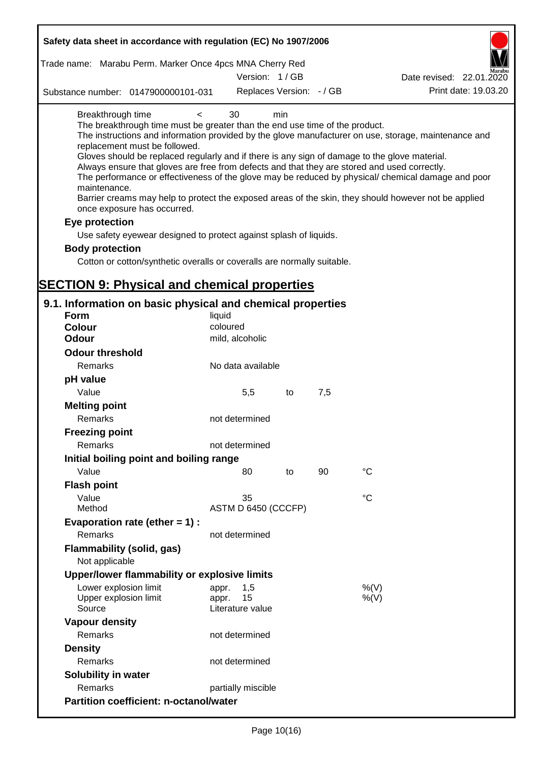| Safety data sheet in accordance with regulation (EC) No 1907/2006                                                                                                                                                                                                                                                                                                                                                                                                                                                      |                                                 |    |     |                                                                                                                                                                                                            |
|------------------------------------------------------------------------------------------------------------------------------------------------------------------------------------------------------------------------------------------------------------------------------------------------------------------------------------------------------------------------------------------------------------------------------------------------------------------------------------------------------------------------|-------------------------------------------------|----|-----|------------------------------------------------------------------------------------------------------------------------------------------------------------------------------------------------------------|
| Trade name: Marabu Perm. Marker Once 4pcs MNA Cherry Red                                                                                                                                                                                                                                                                                                                                                                                                                                                               | Version: 1/GB                                   |    |     | Date revised: 22.01.2020                                                                                                                                                                                   |
| Substance number: 0147900000101-031                                                                                                                                                                                                                                                                                                                                                                                                                                                                                    | Replaces Version: - / GB                        |    |     | Print date: 19.03.20                                                                                                                                                                                       |
| Breakthrough time<br>$\,<\,$<br>The breakthrough time must be greater than the end use time of the product.<br>replacement must be followed.<br>Gloves should be replaced regularly and if there is any sign of damage to the glove material.<br>Always ensure that gloves are free from defects and that they are stored and used correctly.<br>maintenance.<br>Barrier creams may help to protect the exposed areas of the skin, they should however not be applied<br>once exposure has occurred.<br>Eye protection | 30<br>min                                       |    |     | The instructions and information provided by the glove manufacturer on use, storage, maintenance and<br>The performance or effectiveness of the glove may be reduced by physical/ chemical damage and poor |
| Use safety eyewear designed to protect against splash of liquids.                                                                                                                                                                                                                                                                                                                                                                                                                                                      |                                                 |    |     |                                                                                                                                                                                                            |
| <b>Body protection</b>                                                                                                                                                                                                                                                                                                                                                                                                                                                                                                 |                                                 |    |     |                                                                                                                                                                                                            |
| Cotton or cotton/synthetic overalls or coveralls are normally suitable.                                                                                                                                                                                                                                                                                                                                                                                                                                                |                                                 |    |     |                                                                                                                                                                                                            |
|                                                                                                                                                                                                                                                                                                                                                                                                                                                                                                                        |                                                 |    |     |                                                                                                                                                                                                            |
| <b>SECTION 9: Physical and chemical properties</b>                                                                                                                                                                                                                                                                                                                                                                                                                                                                     |                                                 |    |     |                                                                                                                                                                                                            |
| 9.1. Information on basic physical and chemical properties                                                                                                                                                                                                                                                                                                                                                                                                                                                             |                                                 |    |     |                                                                                                                                                                                                            |
| <b>Form</b>                                                                                                                                                                                                                                                                                                                                                                                                                                                                                                            | liquid                                          |    |     |                                                                                                                                                                                                            |
| <b>Colour</b>                                                                                                                                                                                                                                                                                                                                                                                                                                                                                                          | coloured                                        |    |     |                                                                                                                                                                                                            |
| <b>Odour</b>                                                                                                                                                                                                                                                                                                                                                                                                                                                                                                           | mild, alcoholic                                 |    |     |                                                                                                                                                                                                            |
| <b>Odour threshold</b>                                                                                                                                                                                                                                                                                                                                                                                                                                                                                                 |                                                 |    |     |                                                                                                                                                                                                            |
| Remarks                                                                                                                                                                                                                                                                                                                                                                                                                                                                                                                | No data available                               |    |     |                                                                                                                                                                                                            |
| pH value                                                                                                                                                                                                                                                                                                                                                                                                                                                                                                               |                                                 |    |     |                                                                                                                                                                                                            |
| Value                                                                                                                                                                                                                                                                                                                                                                                                                                                                                                                  | 5,5                                             | to | 7,5 |                                                                                                                                                                                                            |
| <b>Melting point</b><br>Remarks                                                                                                                                                                                                                                                                                                                                                                                                                                                                                        | not determined                                  |    |     |                                                                                                                                                                                                            |
| <b>Freezing point</b>                                                                                                                                                                                                                                                                                                                                                                                                                                                                                                  |                                                 |    |     |                                                                                                                                                                                                            |
| Remarks                                                                                                                                                                                                                                                                                                                                                                                                                                                                                                                | not determined                                  |    |     |                                                                                                                                                                                                            |
| Initial boiling point and boiling range                                                                                                                                                                                                                                                                                                                                                                                                                                                                                |                                                 |    |     |                                                                                                                                                                                                            |
| Value                                                                                                                                                                                                                                                                                                                                                                                                                                                                                                                  | 80                                              | to | 90  | $^{\circ}C$                                                                                                                                                                                                |
| <b>Flash point</b>                                                                                                                                                                                                                                                                                                                                                                                                                                                                                                     |                                                 |    |     |                                                                                                                                                                                                            |
| Value                                                                                                                                                                                                                                                                                                                                                                                                                                                                                                                  | 35                                              |    |     | °C                                                                                                                                                                                                         |
| Method                                                                                                                                                                                                                                                                                                                                                                                                                                                                                                                 | ASTM D 6450 (CCCFP)                             |    |     |                                                                                                                                                                                                            |
| Evaporation rate (ether $= 1$ ) :                                                                                                                                                                                                                                                                                                                                                                                                                                                                                      |                                                 |    |     |                                                                                                                                                                                                            |
| Remarks                                                                                                                                                                                                                                                                                                                                                                                                                                                                                                                | not determined                                  |    |     |                                                                                                                                                                                                            |
| <b>Flammability (solid, gas)</b><br>Not applicable                                                                                                                                                                                                                                                                                                                                                                                                                                                                     |                                                 |    |     |                                                                                                                                                                                                            |
| Upper/lower flammability or explosive limits                                                                                                                                                                                                                                                                                                                                                                                                                                                                           |                                                 |    |     |                                                                                                                                                                                                            |
| Lower explosion limit<br>Upper explosion limit<br>Source                                                                                                                                                                                                                                                                                                                                                                                                                                                               | 1,5<br>appr.<br>15<br>appr.<br>Literature value |    |     | %(V)<br>%(V)                                                                                                                                                                                               |
| <b>Vapour density</b>                                                                                                                                                                                                                                                                                                                                                                                                                                                                                                  |                                                 |    |     |                                                                                                                                                                                                            |
| Remarks                                                                                                                                                                                                                                                                                                                                                                                                                                                                                                                | not determined                                  |    |     |                                                                                                                                                                                                            |
| <b>Density</b>                                                                                                                                                                                                                                                                                                                                                                                                                                                                                                         |                                                 |    |     |                                                                                                                                                                                                            |
| Remarks                                                                                                                                                                                                                                                                                                                                                                                                                                                                                                                | not determined                                  |    |     |                                                                                                                                                                                                            |
| Solubility in water                                                                                                                                                                                                                                                                                                                                                                                                                                                                                                    |                                                 |    |     |                                                                                                                                                                                                            |
| Remarks                                                                                                                                                                                                                                                                                                                                                                                                                                                                                                                | partially miscible                              |    |     |                                                                                                                                                                                                            |
| <b>Partition coefficient: n-octanol/water</b>                                                                                                                                                                                                                                                                                                                                                                                                                                                                          |                                                 |    |     |                                                                                                                                                                                                            |
|                                                                                                                                                                                                                                                                                                                                                                                                                                                                                                                        |                                                 |    |     |                                                                                                                                                                                                            |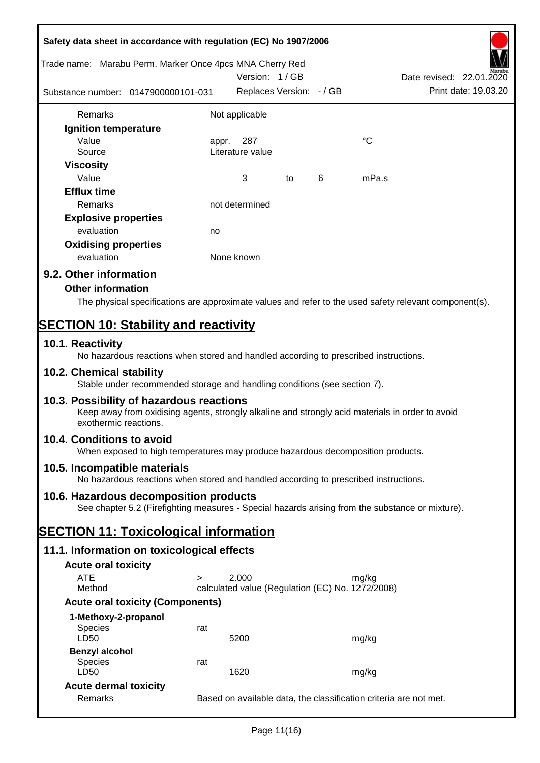| Safety data sheet in accordance with regulation (EC) No 1907/2006 |                                                                                                  |            |                                                  |    |   |             |                                                                                                        |
|-------------------------------------------------------------------|--------------------------------------------------------------------------------------------------|------------|--------------------------------------------------|----|---|-------------|--------------------------------------------------------------------------------------------------------|
| Trade name: Marabu Perm. Marker Once 4pcs MNA Cherry Red          |                                                                                                  |            | Version: 1/GB                                    |    |   |             | Date revised: 22.01.2020                                                                               |
| Substance number: 0147900000101-031                               |                                                                                                  |            | Replaces Version: - / GB                         |    |   |             | Print date: 19.03.20                                                                                   |
| Remarks                                                           |                                                                                                  |            | Not applicable                                   |    |   |             |                                                                                                        |
| Ignition temperature                                              |                                                                                                  |            |                                                  |    |   |             |                                                                                                        |
| Value                                                             |                                                                                                  | appr.      | 287                                              |    |   | $^{\circ}C$ |                                                                                                        |
| Source                                                            |                                                                                                  |            | Literature value                                 |    |   |             |                                                                                                        |
| <b>Viscosity</b>                                                  |                                                                                                  |            |                                                  |    |   |             |                                                                                                        |
| Value                                                             |                                                                                                  |            | 3                                                | to | 6 | mPa.s       |                                                                                                        |
| <b>Efflux time</b>                                                |                                                                                                  |            |                                                  |    |   |             |                                                                                                        |
| Remarks                                                           |                                                                                                  |            | not determined                                   |    |   |             |                                                                                                        |
| <b>Explosive properties</b>                                       |                                                                                                  |            |                                                  |    |   |             |                                                                                                        |
| evaluation                                                        |                                                                                                  | no         |                                                  |    |   |             |                                                                                                        |
| <b>Oxidising properties</b>                                       |                                                                                                  |            |                                                  |    |   |             |                                                                                                        |
| evaluation                                                        |                                                                                                  | None known |                                                  |    |   |             |                                                                                                        |
| 9.2. Other information                                            |                                                                                                  |            |                                                  |    |   |             |                                                                                                        |
| <b>Other information</b>                                          |                                                                                                  |            |                                                  |    |   |             |                                                                                                        |
|                                                                   |                                                                                                  |            |                                                  |    |   |             | The physical specifications are approximate values and refer to the used safety relevant component(s). |
| <b>SECTION 10: Stability and reactivity</b>                       |                                                                                                  |            |                                                  |    |   |             |                                                                                                        |
| 10.1. Reactivity                                                  | No hazardous reactions when stored and handled according to prescribed instructions.             |            |                                                  |    |   |             |                                                                                                        |
| 10.2. Chemical stability                                          | Stable under recommended storage and handling conditions (see section 7).                        |            |                                                  |    |   |             |                                                                                                        |
| 10.3. Possibility of hazardous reactions<br>exothermic reactions. | Keep away from oxidising agents, strongly alkaline and strongly acid materials in order to avoid |            |                                                  |    |   |             |                                                                                                        |
| 10.4. Conditions to avoid                                         | When exposed to high temperatures may produce hazardous decomposition products.                  |            |                                                  |    |   |             |                                                                                                        |
| 10.5. Incompatible materials                                      | No hazardous reactions when stored and handled according to prescribed instructions.             |            |                                                  |    |   |             |                                                                                                        |
| 10.6. Hazardous decomposition products                            | See chapter 5.2 (Firefighting measures - Special hazards arising from the substance or mixture). |            |                                                  |    |   |             |                                                                                                        |
| <b>SECTION 11: Toxicological information</b>                      |                                                                                                  |            |                                                  |    |   |             |                                                                                                        |
| 11.1. Information on toxicological effects                        |                                                                                                  |            |                                                  |    |   |             |                                                                                                        |
| <b>Acute oral toxicity</b>                                        |                                                                                                  |            |                                                  |    |   |             |                                                                                                        |
| <b>ATE</b>                                                        | $\geq$                                                                                           |            | 2.000                                            |    |   | mg/kg       |                                                                                                        |
| Method                                                            |                                                                                                  |            | calculated value (Regulation (EC) No. 1272/2008) |    |   |             |                                                                                                        |
|                                                                   | <b>Acute oral toxicity (Components)</b>                                                          |            |                                                  |    |   |             |                                                                                                        |
| 1-Methoxy-2-propanol                                              |                                                                                                  |            |                                                  |    |   |             |                                                                                                        |
| <b>Species</b>                                                    | rat                                                                                              |            |                                                  |    |   |             |                                                                                                        |
| LD50                                                              |                                                                                                  |            | 5200                                             |    |   | mg/kg       |                                                                                                        |
| <b>Benzyl alcohol</b><br><b>Species</b>                           | rat                                                                                              |            |                                                  |    |   |             |                                                                                                        |
| LD50                                                              |                                                                                                  |            | 1620                                             |    |   | mg/kg       |                                                                                                        |
| <b>Acute dermal toxicity</b>                                      |                                                                                                  |            |                                                  |    |   |             |                                                                                                        |
| Remarks                                                           |                                                                                                  |            |                                                  |    |   |             | Based on available data, the classification criteria are not met.                                      |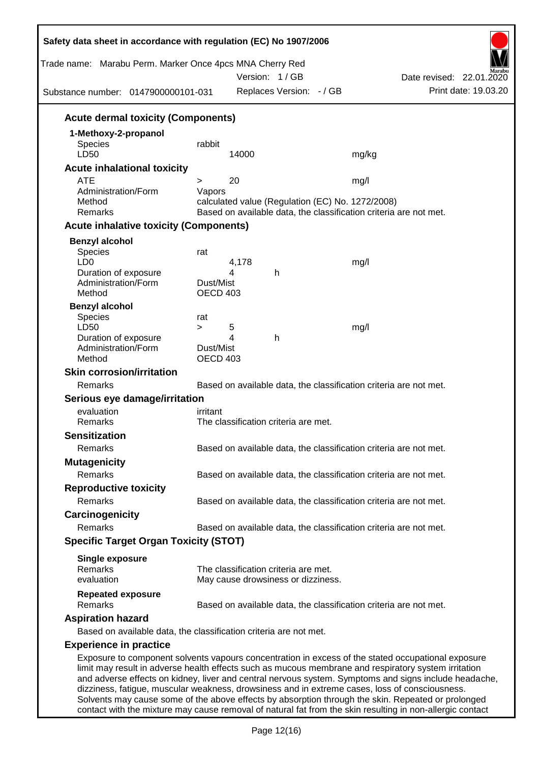| Trade name: Marabu Perm. Marker Once 4pcs MNA Cherry Red<br>Substance number: 0147900000101-031                                                                                                        |                       |            | Version: 1/GB<br>Replaces Version: - / GB |                                                  | Date revised: 22.01.2020<br>Print date: 19.03.20                                                                                                                                                            |
|--------------------------------------------------------------------------------------------------------------------------------------------------------------------------------------------------------|-----------------------|------------|-------------------------------------------|--------------------------------------------------|-------------------------------------------------------------------------------------------------------------------------------------------------------------------------------------------------------------|
| <b>Acute dermal toxicity (Components)</b>                                                                                                                                                              |                       |            |                                           |                                                  |                                                                                                                                                                                                             |
| 1-Methoxy-2-propanol                                                                                                                                                                                   |                       |            |                                           |                                                  |                                                                                                                                                                                                             |
| <b>Species</b><br>LD50                                                                                                                                                                                 | rabbit                | 14000      |                                           | mg/kg                                            |                                                                                                                                                                                                             |
| <b>Acute inhalational toxicity</b>                                                                                                                                                                     |                       |            |                                           |                                                  |                                                                                                                                                                                                             |
| <b>ATE</b>                                                                                                                                                                                             | $\geq$                | 20         |                                           | mg/l                                             |                                                                                                                                                                                                             |
| Administration/Form<br>Method<br>Remarks                                                                                                                                                               | Vapors                |            |                                           | calculated value (Regulation (EC) No. 1272/2008) | Based on available data, the classification criteria are not met.                                                                                                                                           |
| <b>Acute inhalative toxicity (Components)</b>                                                                                                                                                          |                       |            |                                           |                                                  |                                                                                                                                                                                                             |
|                                                                                                                                                                                                        |                       |            |                                           |                                                  |                                                                                                                                                                                                             |
| <b>Benzyl alcohol</b><br>Species<br>LD <sub>0</sub>                                                                                                                                                    | rat                   | 4,178<br>4 |                                           | mg/l                                             |                                                                                                                                                                                                             |
| Duration of exposure<br>Administration/Form<br>Method                                                                                                                                                  | Dust/Mist<br>OECD 403 |            | h                                         |                                                  |                                                                                                                                                                                                             |
| <b>Benzyl alcohol</b><br>Species                                                                                                                                                                       | rat                   |            |                                           |                                                  |                                                                                                                                                                                                             |
| LD50                                                                                                                                                                                                   | $\geq$                | 5          |                                           | mg/l                                             |                                                                                                                                                                                                             |
| Duration of exposure<br>Administration/Form<br>Method                                                                                                                                                  | Dust/Mist<br>OECD 403 | 4          | h                                         |                                                  |                                                                                                                                                                                                             |
| <b>Skin corrosion/irritation</b>                                                                                                                                                                       |                       |            |                                           |                                                  |                                                                                                                                                                                                             |
| Remarks                                                                                                                                                                                                |                       |            |                                           |                                                  | Based on available data, the classification criteria are not met.                                                                                                                                           |
| Serious eye damage/irritation                                                                                                                                                                          |                       |            |                                           |                                                  |                                                                                                                                                                                                             |
| evaluation                                                                                                                                                                                             | irritant              |            |                                           |                                                  |                                                                                                                                                                                                             |
| Remarks                                                                                                                                                                                                |                       |            | The classification criteria are met.      |                                                  |                                                                                                                                                                                                             |
| <b>Sensitization</b>                                                                                                                                                                                   |                       |            |                                           |                                                  |                                                                                                                                                                                                             |
| Remarks                                                                                                                                                                                                |                       |            |                                           |                                                  | Based on available data, the classification criteria are not met.                                                                                                                                           |
| <b>Mutagenicity</b>                                                                                                                                                                                    |                       |            |                                           |                                                  |                                                                                                                                                                                                             |
| Remarks                                                                                                                                                                                                |                       |            |                                           |                                                  | Based on available data, the classification criteria are not met.                                                                                                                                           |
| <b>Reproductive toxicity</b>                                                                                                                                                                           |                       |            |                                           |                                                  |                                                                                                                                                                                                             |
| Remarks                                                                                                                                                                                                |                       |            |                                           |                                                  | Based on available data, the classification criteria are not met.                                                                                                                                           |
| Carcinogenicity                                                                                                                                                                                        |                       |            |                                           |                                                  |                                                                                                                                                                                                             |
| Remarks                                                                                                                                                                                                |                       |            |                                           |                                                  | Based on available data, the classification criteria are not met.                                                                                                                                           |
| <b>Specific Target Organ Toxicity (STOT)</b>                                                                                                                                                           |                       |            |                                           |                                                  |                                                                                                                                                                                                             |
| <b>Single exposure</b><br>Remarks                                                                                                                                                                      |                       |            | The classification criteria are met.      |                                                  |                                                                                                                                                                                                             |
| evaluation                                                                                                                                                                                             |                       |            | May cause drowsiness or dizziness.        |                                                  |                                                                                                                                                                                                             |
| <b>Repeated exposure</b><br>Remarks                                                                                                                                                                    |                       |            |                                           |                                                  | Based on available data, the classification criteria are not met.                                                                                                                                           |
| <b>Aspiration hazard</b>                                                                                                                                                                               |                       |            |                                           |                                                  |                                                                                                                                                                                                             |
| Based on available data, the classification criteria are not met.                                                                                                                                      |                       |            |                                           |                                                  |                                                                                                                                                                                                             |
| <b>Experience in practice</b>                                                                                                                                                                          |                       |            |                                           |                                                  |                                                                                                                                                                                                             |
| limit may result in adverse health effects such as mucous membrane and respiratory system irritation<br>dizziness, fatigue, muscular weakness, drowsiness and in extreme cases, loss of consciousness. |                       |            |                                           |                                                  | Exposure to component solvents vapours concentration in excess of the stated occupational exposure<br>and adverse effects on kidney, liver and central nervous system. Symptoms and signs include headache, |

Solvents may cause some of the above effects by absorption through the skin. Repeated or prolonged contact with the mixture may cause removal of natural fat from the skin resulting in non-allergic contact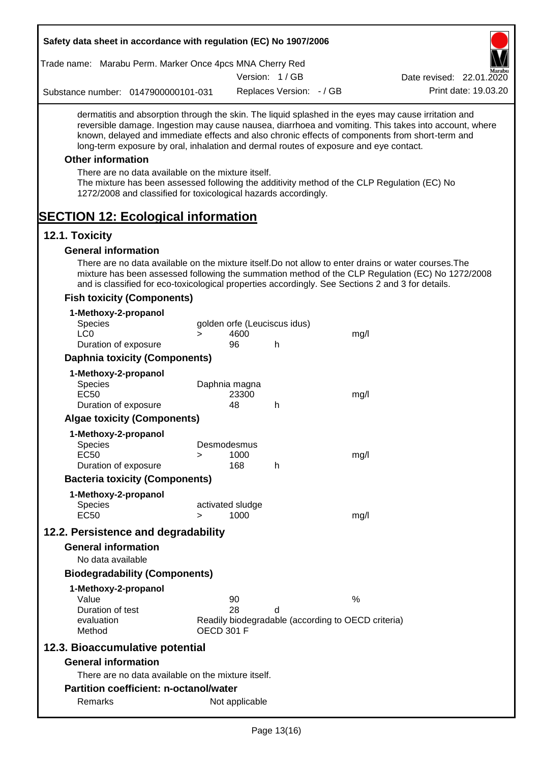| Safety data sheet in accordance with regulation (EC) No 1907/2006                                                                                                                                                                                                                                                                                                                                         |            |                              |      |                          |
|-----------------------------------------------------------------------------------------------------------------------------------------------------------------------------------------------------------------------------------------------------------------------------------------------------------------------------------------------------------------------------------------------------------|------------|------------------------------|------|--------------------------|
| Trade name: Marabu Perm. Marker Once 4pcs MNA Cherry Red                                                                                                                                                                                                                                                                                                                                                  |            |                              |      |                          |
|                                                                                                                                                                                                                                                                                                                                                                                                           |            | Version: 1/GB                |      | Date revised: 22.01.2020 |
| Substance number: 0147900000101-031                                                                                                                                                                                                                                                                                                                                                                       |            | Replaces Version: - / GB     |      | Print date: 19.03.20     |
| dermatitis and absorption through the skin. The liquid splashed in the eyes may cause irritation and<br>reversible damage. Ingestion may cause nausea, diarrhoea and vomiting. This takes into account, where<br>known, delayed and immediate effects and also chronic effects of components from short-term and<br>long-term exposure by oral, inhalation and dermal routes of exposure and eye contact. |            |                              |      |                          |
| <b>Other information</b>                                                                                                                                                                                                                                                                                                                                                                                  |            |                              |      |                          |
| There are no data available on the mixture itself.<br>The mixture has been assessed following the additivity method of the CLP Regulation (EC) No<br>1272/2008 and classified for toxicological hazards accordingly.                                                                                                                                                                                      |            |                              |      |                          |
| <b>SECTION 12: Ecological information</b>                                                                                                                                                                                                                                                                                                                                                                 |            |                              |      |                          |
| 12.1. Toxicity                                                                                                                                                                                                                                                                                                                                                                                            |            |                              |      |                          |
| <b>General information</b>                                                                                                                                                                                                                                                                                                                                                                                |            |                              |      |                          |
| There are no data available on the mixture itself. Do not allow to enter drains or water courses. The<br>mixture has been assessed following the summation method of the CLP Regulation (EC) No 1272/2008<br>and is classified for eco-toxicological properties accordingly. See Sections 2 and 3 for details.                                                                                            |            |                              |      |                          |
| <b>Fish toxicity (Components)</b>                                                                                                                                                                                                                                                                                                                                                                         |            |                              |      |                          |
| 1-Methoxy-2-propanol                                                                                                                                                                                                                                                                                                                                                                                      |            |                              |      |                          |
| <b>Species</b>                                                                                                                                                                                                                                                                                                                                                                                            |            | golden orfe (Leuciscus idus) |      |                          |
| $1 \text{ }C \Omega$<br>$\geq$<br>Duration of exposure                                                                                                                                                                                                                                                                                                                                                    | 4600<br>96 | h                            | mg/l |                          |

| EC <sub>50</sub>     | 1000 | mg/l |
|----------------------|------|------|
| Duration of exposure | 168  |      |

**Algae toxicity (Components)**

**Daphnia toxicity (Components)**

Species Daphnia magna<br>EC50 23300

Species Desmodesmus

Duration of exposure 48 h

**1-Methoxy-2-propanol**

**1-Methoxy-2-propanol**

## **Bacteria toxicity (Components)**

| 1-Methoxy-2-propanol |                  |      |
|----------------------|------------------|------|
| <b>Species</b>       | activated sludge |      |
| EC50                 | 1000             | ma/l |

EC50 23300 mg/l

## **12.2. Persistence and degradability**

#### **General information**

No data available

### **Biodegradability (Components)**

#### **1-Methoxy-2-propanol**

| Value            | 90         | %                                                  |
|------------------|------------|----------------------------------------------------|
| Duration of test | 28         |                                                    |
| evaluation       |            | Readily biodegradable (according to OECD criteria) |
| Method           | OECD 301 F |                                                    |

## **12.3. Bioaccumulative potential**

#### **General information**

There are no data available on the mixture itself.

## **Partition coefficient: n-octanol/water**

Remarks Not applicable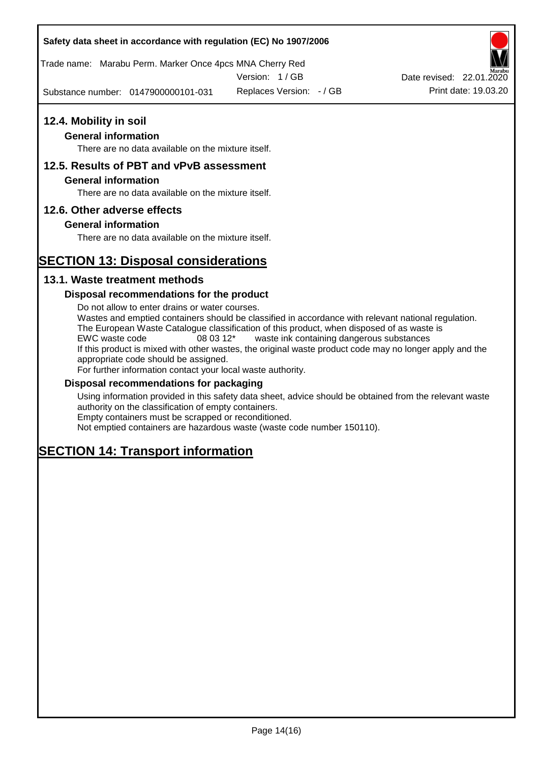Trade name: Marabu Perm. Marker Once 4pcs MNA Cherry Red

Version: 1 / GB

Substance number: 0147900000101-031

## **12.4. Mobility in soil**

## **General information**

There are no data available on the mixture itself.

## **12.5. Results of PBT and vPvB assessment**

### **General information**

There are no data available on the mixture itself.

## **12.6. Other adverse effects**

## **General information**

There are no data available on the mixture itself.

# **SECTION 13: Disposal considerations**

## **13.1. Waste treatment methods**

## **Disposal recommendations for the product**

Do not allow to enter drains or water courses. Wastes and emptied containers should be classified in accordance with relevant national regulation. The European Waste Catalogue classification of this product, when disposed of as waste is EWC waste code 08 03 12\* waste ink containing dangerous substances If this product is mixed with other wastes, the original waste product code may no longer apply and the appropriate code should be assigned. For further information contact your local waste authority.

### **Disposal recommendations for packaging**

Using information provided in this safety data sheet, advice should be obtained from the relevant waste authority on the classification of empty containers. Empty containers must be scrapped or reconditioned.

Not emptied containers are hazardous waste (waste code number 150110).

# **SECTION 14: Transport information**



Replaces Version:  $-$  / GB Print date: 19.03.20 Date revised: 22.01.2020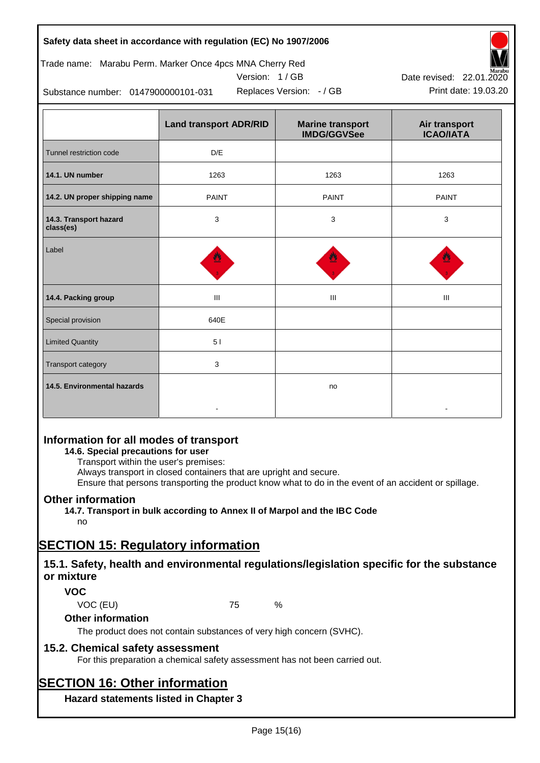## Trade name: Marabu Perm. Marker Once 4pcs MNA Cherry Red





Replaces Version:  $-$  / GB Print date: 19.03.20 Date revised: 22.01.2020

Substance number: 0147900000101-031

|                                     | <b>Land transport ADR/RID</b> | <b>Marine transport</b><br><b>IMDG/GGVSee</b> | Air transport<br><b>ICAO/IATA</b> |
|-------------------------------------|-------------------------------|-----------------------------------------------|-----------------------------------|
| Tunnel restriction code             | D/E                           |                                               |                                   |
| 14.1. UN number                     | 1263                          | 1263                                          | 1263                              |
| 14.2. UN proper shipping name       | <b>PAINT</b>                  | <b>PAINT</b>                                  | <b>PAINT</b>                      |
| 14.3. Transport hazard<br>class(es) | 3                             | 3                                             | 3                                 |
| Label                               |                               |                                               |                                   |
| 14.4. Packing group                 | Ш                             | III                                           | Ш                                 |
| Special provision                   | 640E                          |                                               |                                   |
| <b>Limited Quantity</b>             | 51                            |                                               |                                   |
| Transport category                  | 3                             |                                               |                                   |
| 14.5. Environmental hazards         |                               | no                                            |                                   |

## **Information for all modes of transport**

## **14.6. Special precautions for user**

Transport within the user's premises:

Always transport in closed containers that are upright and secure.

Ensure that persons transporting the product know what to do in the event of an accident or spillage.

## **Other information**

**14.7. Transport in bulk according to Annex II of Marpol and the IBC Code**

# no

# **SECTION 15: Regulatory information**

## **15.1. Safety, health and environmental regulations/legislation specific for the substance or mixture**

## **VOC**

VOC (EU) 75 %

## **Other information**

The product does not contain substances of very high concern (SVHC).

## **15.2. Chemical safety assessment**

For this preparation a chemical safety assessment has not been carried out.

# **SECTION 16: Other information**

**Hazard statements listed in Chapter 3**